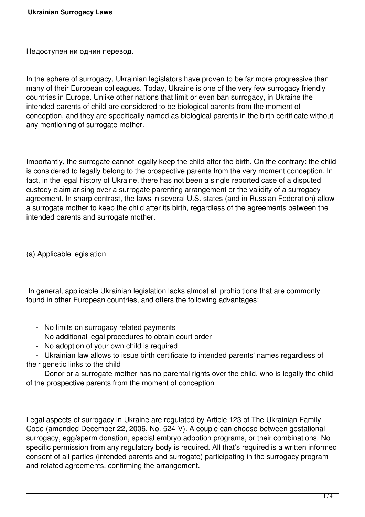Недоступен ни однин перевод.

In the sphere of surrogacy, Ukrainian legislators have proven to be far more progressive than many of their European colleagues. Today, Ukraine is one of the very few surrogacy friendly countries in Europe. Unlike other nations that limit or even ban surrogacy, in Ukraine the intended parents of child are considered to be biological parents from the moment of conception, and they are specifically named as biological parents in the birth certificate without any mentioning of surrogate mother.

Importantly, the surrogate cannot legally keep the child after the birth. On the contrary: the child is considered to legally belong to the prospective parents from the very moment conception. In fact, in the legal history of Ukraine, there has not been a single reported case of a disputed custody claim arising over a surrogate parenting arrangement or the validity of a surrogacy agreement. In sharp contrast, the laws in several U.S. states (and in Russian Federation) allow a surrogate mother to keep the child after its birth, regardless of the agreements between the intended parents and surrogate mother.

(a) Applicable legislation

 In general, applicable Ukrainian legislation lacks almost all prohibitions that are commonly found in other European countries, and offers the following advantages:

- No limits on surrogacy related payments
- No additional legal procedures to obtain court order
- No adoption of your own child is required

 - Ukrainian law allows to issue birth certificate to intended parents' names regardless of their genetic links to the child

- Donor or a surrogate mother has no parental rights over the child, who is legally the child of the prospective parents from the moment of conception

Legal aspects of surrogacy in Ukraine are regulated by Article 123 of The Ukrainian Family Code (amended December 22, 2006, No. 524-V). A couple can choose between gestational surrogacy, egg/sperm donation, special embryo adoption programs, or their combinations. No specific permission from any requiatory body is required. All that's required is a written informed consent of all parties (intended parents and surrogate) participating in the surrogacy program and related agreements, confirming the arrangement.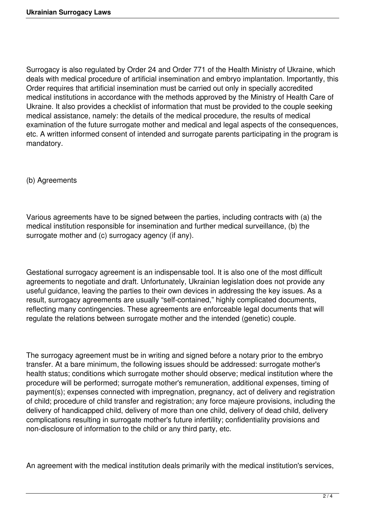Surrogacy is also regulated by Order 24 and Order 771 of the Health Ministry of Ukraine, which deals with medical procedure of artificial insemination and embryo implantation. Importantly, this Order requires that artificial insemination must be carried out only in specially accredited medical institutions in accordance with the methods approved by the Ministry of Health Care of Ukraine. It also provides a checklist of information that must be provided to the couple seeking medical assistance, namely: the details of the medical procedure, the results of medical examination of the future surrogate mother and medical and legal aspects of the consequences, etc. A written informed consent of intended and surrogate parents participating in the program is mandatory.

(b) Agreements

Various agreements have to be signed between the parties, including contracts with (a) the medical institution responsible for insemination and further medical surveillance, (b) the surrogate mother and (c) surrogacy agency (if any).

Gestational surrogacy agreement is an indispensable tool. It is also one of the most difficult agreements to negotiate and draft. Unfortunately, Ukrainian legislation does not provide any useful guidance, leaving the parties to their own devices in addressing the key issues. As a result, surrogacy agreements are usually "self-contained," highly complicated documents, reflecting many contingencies. These agreements are enforceable legal documents that will regulate the relations between surrogate mother and the intended (genetic) couple.

The surrogacy agreement must be in writing and signed before a notary prior to the embryo transfer. At a bare minimum, the following issues should be addressed: surrogate mother's health status; conditions which surrogate mother should observe; medical institution where the procedure will be performed; surrogate mother's remuneration, additional expenses, timing of payment(s); expenses connected with impregnation, pregnancy, act of delivery and registration of child; procedure of child transfer and registration; any force majeure provisions, including the delivery of handicapped child, delivery of more than one child, delivery of dead child, delivery complications resulting in surrogate mother's future infertility; confidentiality provisions and non-disclosure of information to the child or any third party, etc.

An agreement with the medical institution deals primarily with the medical institution's services,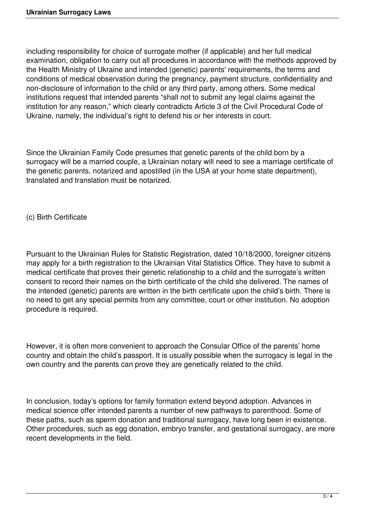including responsibility for choice of surrogate mother (if applicable) and her full medical examination, obligation to carry out all procedures in accordance with the methods approved by the Health Ministry of Ukraine and intended (genetic) parents' requirements, the terms and conditions of medical observation during the pregnancy, payment structure, confidentiality and non-disclosure of information to the child or any third party, among others. Some medical institutions request that intended parents "shall not to submit any legal claims against the institution for any reason," which clearly contradicts Article 3 of the Civil Procedural Code of Ukraine, namely, the individual's right to defend his or her interests in court.

Since the Ukrainian Family Code presumes that genetic parents of the child born by a surrogacy will be a married couple, a Ukrainian notary will need to see a marriage certificate of the genetic parents, notarized and apostilled (in the USA at your home state department), translated and translation must be notarized.

(c) Birth Certificate

Pursuant to the Ukrainian Rules for Statistic Registration, dated 10/18/2000, foreigner citizens may apply for a birth registration to the Ukrainian Vital Statistics Office. They have to submit a medical certificate that proves their genetic relationship to a child and the surrogate's written consent to record their names on the birth certificate of the child she delivered. The names of the intended (genetic) parents are written in the birth certificate upon the child's birth. There is no need to get any special permits from any committee, court or other institution. No adoption procedure is required.

However, it is often more convenient to approach the Consular Office of the parents' home country and obtain the child's passport. It is usually possible when the surrogacy is legal in the own country and the parents can prove they are genetically related to the child.

In conclusion, today's options for family formation extend beyond adoption. Advances in medical science offer intended parents a number of new pathways to parenthood. Some of these paths, such as sperm donation and traditional surrogacy, have long been in existence. Other procedures, such as egg donation, embryo transfer, and gestational surrogacy, are more recent developments in the field.